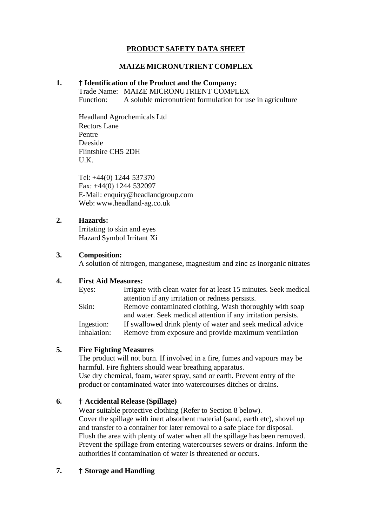## **PRODUCT SAFETY DATA SHEET**

#### **MAIZE MICRONUTRIENT COMPLEX**

#### **1. † Identification of the Product and the Company:**

Trade Name: MAIZE MICRONUTRIENT COMPLEX

Function: A soluble micronutrient formulation for use in agriculture

Headland Agrochemicals Ltd Rectors Lane Pentre Deeside Flintshire CH5 2DH U.K.

Tel: +44(0) 1244 537370 Fax: +44(0) 1244 532097 E-Mail: enquiry@headlandgroup.com Web: www.headland-ag.co.uk

## **2. Hazards:**

Irritating to skin and eyes Hazard Symbol Irritant Xi

## **3. Composition:**

A solution of nitrogen, manganese, magnesium and zinc as inorganic nitrates

## **4. First Aid Measures:**

| Eyes:       | Irrigate with clean water for at least 15 minutes. Seek medical |
|-------------|-----------------------------------------------------------------|
|             | attention if any irritation or redness persists.                |
| Skin:       | Remove contaminated clothing. Wash thoroughly with soap         |
|             | and water. Seek medical attention if any irritation persists.   |
| Ingestion:  | If swallowed drink plenty of water and seek medical advice      |
| Inhalation: | Remove from exposure and provide maximum ventilation            |
|             |                                                                 |

## **5. Fire Fighting Measures**

The product will not burn. If involved in a fire, fumes and vapours may be harmful. Fire fighters should wear breathing apparatus. Use dry chemical, foam, water spray, sand or earth. Prevent entry of the product or contaminated water into watercourses ditches or drains.

## **6. † Accidental Release (Spillage)**

Wear suitable protective clothing (Refer to Section 8 below). Cover the spillage with inert absorbent material (sand, earth etc), shovel up and transfer to a container for later removal to a safe place for disposal. Flush the area with plenty of water when all the spillage has been removed. Prevent the spillage from entering watercourses sewers or drains. Inform the authorities if contamination of water is threatened or occurs.

## **7. † Storage and Handling**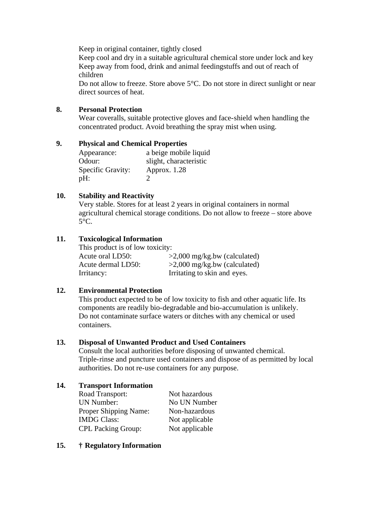Keep in original container, tightly closed

Keep cool and dry in a suitable agricultural chemical store under lock and key Keep away from food, drink and animal feedingstuffs and out of reach of children

Do not allow to freeze. Store above 5°C. Do not store in direct sunlight or near direct sources of heat.

## **8. Personal Protection**

Wear coveralls, suitable protective gloves and face-shield when handling the concentrated product. Avoid breathing the spray mist when using.

## **9. Physical and Chemical Properties**

Appearance: a beige mobile liquid Odour: slight, characteristic Specific Gravity: Approx. 1.28 pH: 2

# **10. Stability and Reactivity**

Very stable. Stores for at least 2 years in original containers in normal agricultural chemical storage conditions. Do not allow to freeze – store above  $5^{\circ}$ C.

## **11. Toxicological Information**

This product is of low toxicity: Acute oral LD50:  $>2,000$  mg/kg.bw (calculated) Acute dermal LD50:  $>2,000$  mg/kg.bw (calculated) Irritancy: Irritating to skin and eyes.

# **12. Environmental Protection**

This product expected to be of low toxicity to fish and other aquatic life. Its components are readily bio-degradable and bio-accumulation is unlikely. Do not contaminate surface waters or ditches with any chemical or used containers.

## **13. Disposal of Unwanted Product and Used Containers**

Consult the local authorities before disposing of unwanted chemical. Triple-rinse and puncture used containers and dispose of as permitted by local authorities. Do not re-use containers for any purpose.

## **14. Transport Information**

| Road Transport:           | Not hazardous  |
|---------------------------|----------------|
| <b>UN Number:</b>         | No UN Number   |
| Proper Shipping Name:     | Non-hazardous  |
| <b>IMDG Class:</b>        | Not applicable |
| <b>CPL Packing Group:</b> | Not applicable |

## **15. † Regulatory Information**